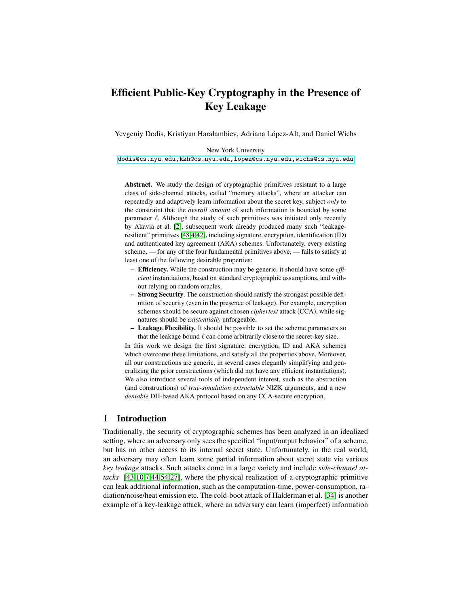# Efficient Public-Key Cryptography in the Presence of Key Leakage

Yevgeniy Dodis, Kristiyan Haralambiev, Adriana López-Alt, and Daniel Wichs

New York University

[dodis@cs.nyu.edu,kkh@cs.nyu.edu,lopez@cs.nyu.edu,wichs@cs.nyu.edu]( dodis@cs.nyu.edu, kkh@cs.nyu.edu, lopez@cs.nyu.edu, wichs@cs.nyu.edu)

Abstract. We study the design of cryptographic primitives resistant to a large class of side-channel attacks, called "memory attacks", where an attacker can repeatedly and adaptively learn information about the secret key, subject *only* to the constraint that the *overall amount* of such information is bounded by some parameter  $\ell$ . Although the study of such primitives was initiated only recently by Akavia et al. [\[2\]](#page-15-0), subsequent work already produced many such "leakageresilient" primitives [\[48,](#page-17-0)[4,](#page-15-1)[42\]](#page-17-1), including signature, encryption, identification (ID) and authenticated key agreement (AKA) schemes. Unfortunately, every existing scheme, — for any of the four fundamental primitives above, — fails to satisfy at least one of the following desirable properties:

- Efficiency. While the construction may be generic, it should have some *efficient* instantiations, based on standard cryptographic assumptions, and without relying on random oracles.
- Strong Security. The construction should satisfy the strongest possible definition of security (even in the presence of leakage). For example, encryption schemes should be secure against chosen *ciphertext* attack (CCA), while signatures should be *existentially* unforgeable.
- Leakage Flexibility. It should be possible to set the scheme parameters so that the leakage bound  $\ell$  can come arbitrarily close to the secret-key size.

In this work we design the first signature, encryption, ID and AKA schemes which overcome these limitations, and satisfy all the properties above. Moreover, all our constructions are generic, in several cases elegantly simplifying and generalizing the prior constructions (which did not have any efficient instantiations). We also introduce several tools of independent interest, such as the abstraction (and constructions) of *true-simulation extractable* NIZK arguments, and a new *deniable* DH-based AKA protocol based on any CCA-secure encryption.

## 1 Introduction

Traditionally, the security of cryptographic schemes has been analyzed in an idealized setting, where an adversary only sees the specified "input/output behavior" of a scheme, but has no other access to its internal secret state. Unfortunately, in the real world, an adversary may often learn some partial information about secret state via various *key leakage* attacks. Such attacks come in a large variety and include *side-channel attacks* [\[43](#page-17-2)[,10](#page-15-2)[,7](#page-15-3)[,44](#page-17-3)[,54](#page-17-4)[,27\]](#page-16-0), where the physical realization of a cryptographic primitive can leak additional information, such as the computation-time, power-consumption, radiation/noise/heat emission etc. The cold-boot attack of Halderman et al. [\[34\]](#page-16-1) is another example of a key-leakage attack, where an adversary can learn (imperfect) information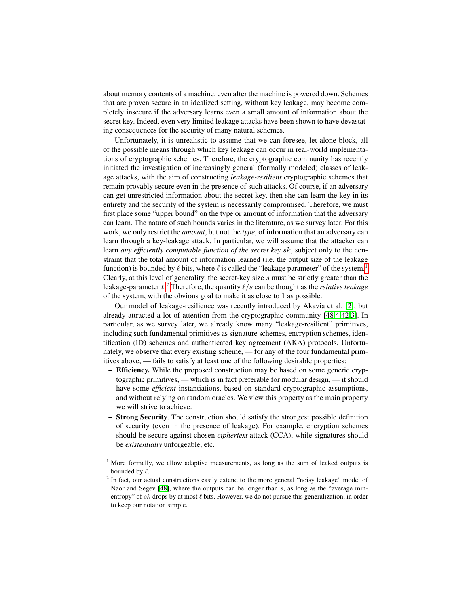about memory contents of a machine, even after the machine is powered down. Schemes that are proven secure in an idealized setting, without key leakage, may become completely insecure if the adversary learns even a small amount of information about the secret key. Indeed, even very limited leakage attacks have been shown to have devastating consequences for the security of many natural schemes.

Unfortunately, it is unrealistic to assume that we can foresee, let alone block, all of the possible means through which key leakage can occur in real-world implementations of cryptographic schemes. Therefore, the cryptographic community has recently initiated the investigation of increasingly general (formally modeled) classes of leakage attacks, with the aim of constructing *leakage-resilient* cryptographic schemes that remain provably secure even in the presence of such attacks. Of course, if an adversary can get unrestricted information about the secret key, then she can learn the key in its entirety and the security of the system is necessarily compromised. Therefore, we must first place some "upper bound" on the type or amount of information that the adversary can learn. The nature of such bounds varies in the literature, as we survey later. For this work, we only restrict the *amount*, but not the *type*, of information that an adversary can learn through a key-leakage attack. In particular, we will assume that the attacker can learn *any efficiently computable function of the secret key* sk, subject only to the constraint that the total amount of information learned (i.e. the output size of the leakage function) is bounded by  $\ell$  bits, where  $\ell$  is called the "leakage parameter" of the system.<sup>[1](#page-1-0)</sup> Clearly, at this level of generality, the secret-key size  $s$  must be strictly greater than the leakage-parameter  $\ell$ .<sup>[2](#page-1-1)</sup> Therefore, the quantity  $\ell/s$  can be thought as the *relative leakage* of the system, with the obvious goal to make it as close to 1 as possible.

Our model of leakage-resilience was recently introduced by Akavia et al. [\[2\]](#page-15-0), but already attracted a lot of attention from the cryptographic community [\[48,](#page-17-0)[4,](#page-15-1)[42,](#page-17-1)[3\]](#page-15-4). In particular, as we survey later, we already know many "leakage-resilient" primitives, including such fundamental primitives as signature schemes, encryption schemes, identification (ID) schemes and authenticated key agreement (AKA) protocols. Unfortunately, we observe that every existing scheme, — for any of the four fundamental primitives above, — fails to satisfy at least one of the following desirable properties:

- Efficiency. While the proposed construction may be based on some generic cryptographic primitives, — which is in fact preferable for modular design, — it should have some *efficient* instantiations, based on standard cryptographic assumptions, and without relying on random oracles. We view this property as the main property we will strive to achieve.
- Strong Security. The construction should satisfy the strongest possible definition of security (even in the presence of leakage). For example, encryption schemes should be secure against chosen *ciphertext* attack (CCA), while signatures should be *existentially* unforgeable, etc.

<span id="page-1-0"></span><sup>&</sup>lt;sup>1</sup> More formally, we allow adaptive measurements, as long as the sum of leaked outputs is bounded by  $\ell$ .

<span id="page-1-1"></span> $2$  In fact, our actual constructions easily extend to the more general "noisy leakage" model of Naor and Segev [\[48\]](#page-17-0), where the outputs can be longer than s, as long as the "average minentropy" of sk drops by at most  $\ell$  bits. However, we do not pursue this generalization, in order to keep our notation simple.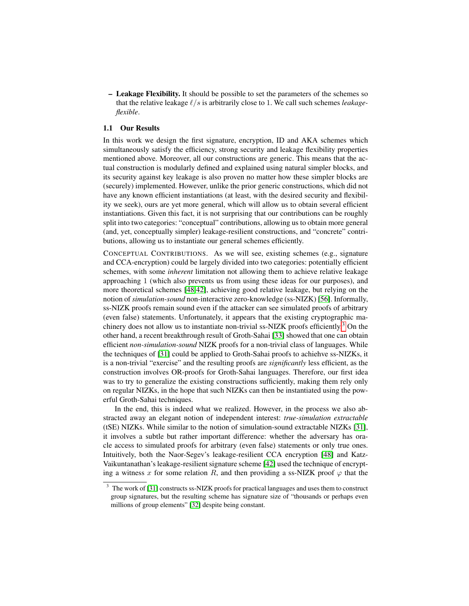– Leakage Flexibility. It should be possible to set the parameters of the schemes so that the relative leakage  $\ell/s$  is arbitrarily close to 1. We call such schemes *leakageflexible*.

### 1.1 Our Results

In this work we design the first signature, encryption, ID and AKA schemes which simultaneously satisfy the efficiency, strong security and leakage flexibility properties mentioned above. Moreover, all our constructions are generic. This means that the actual construction is modularly defined and explained using natural simpler blocks, and its security against key leakage is also proven no matter how these simpler blocks are (securely) implemented. However, unlike the prior generic constructions, which did not have any known efficient instantiations (at least, with the desired security and flexibility we seek), ours are yet more general, which will allow us to obtain several efficient instantiations. Given this fact, it is not surprising that our contributions can be roughly split into two categories: "conceptual" contributions, allowing us to obtain more general (and, yet, conceptually simpler) leakage-resilient constructions, and "concrete" contributions, allowing us to instantiate our general schemes efficiently.

CONCEPTUAL CONTRIBUTIONS. As we will see, existing schemes (e.g., signature and CCA-encryption) could be largely divided into two categories: potentially efficient schemes, with some *inherent* limitation not allowing them to achieve relative leakage approaching 1 (which also prevents us from using these ideas for our purposes), and more theoretical schemes [\[48,](#page-17-0)[42\]](#page-17-1), achieving good relative leakage, but relying on the notion of *simulation-sound* non-interactive zero-knowledge (ss-NIZK) [\[56\]](#page-17-5). Informally, ss-NIZK proofs remain sound even if the attacker can see simulated proofs of arbitrary (even false) statements. Unfortunately, it appears that the existing cryptographic machinery does not allow us to instantiate non-trivial ss-NIZK proofs efficiently.[3](#page-2-0) On the other hand, a recent breakthrough result of Groth-Sahai [\[33\]](#page-16-2) showed that one can obtain efficient *non-simulation-sound* NIZK proofs for a non-trivial class of languages. While the techniques of [\[31\]](#page-16-3) could be applied to Groth-Sahai proofs to achiehve ss-NIZKs, it is a non-trivial "exercise" and the resulting proofs are *significantly* less efficient, as the construction involves OR-proofs for Groth-Sahai languages. Therefore, our first idea was to try to generalize the existing constructions sufficiently, making them rely only on regular NIZKs, in the hope that such NIZKs can then be instantiated using the powerful Groth-Sahai techniques.

In the end, this is indeed what we realized. However, in the process we also abstracted away an elegant notion of independent interest: *true-simulation extractable* (tSE) NIZKs. While similar to the notion of simulation-sound extractable NIZKs [\[31\]](#page-16-3), it involves a subtle but rather important difference: whether the adversary has oracle access to simulated proofs for arbitrary (even false) statements or only true ones. Intuitively, both the Naor-Segev's leakage-resilient CCA encryption [\[48\]](#page-17-0) and Katz-Vaikuntanathan's leakage-resilient signature scheme [\[42\]](#page-17-1) used the technique of encrypting a witness x for some relation R, and then providing a ss-NIZK proof  $\varphi$  that the

<span id="page-2-0"></span><sup>&</sup>lt;sup>3</sup> The work of [\[31\]](#page-16-3) constructs ss-NIZK proofs for practical languages and uses them to construct group signatures, but the resulting scheme has signature size of "thousands or perhaps even millions of group elements" [\[32\]](#page-16-4) despite being constant.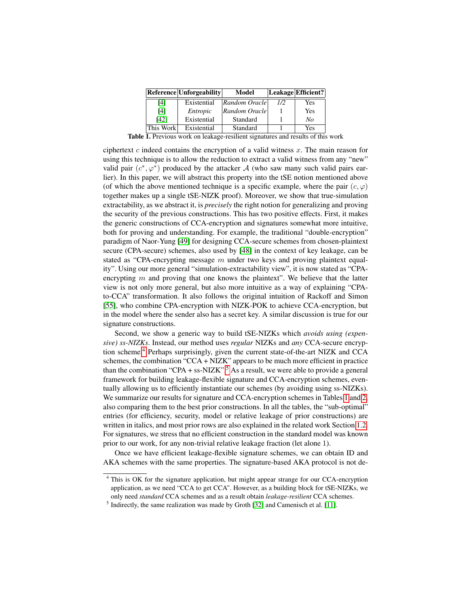|           | Reference Unforgeability | Model         |     | Leakage Efficient? |
|-----------|--------------------------|---------------|-----|--------------------|
| [4]       | Existential              | Random Oracle | 1/2 | Yes                |
| [4]       | Entropic                 | Random Oracle |     | Yes                |
| [42]      | Existential              | Standard      |     | No                 |
| This Work | Existential              | Standard      |     | Yes                |

<span id="page-3-2"></span>Table 1. Previous work on leakage-resilient signatures and results of this work

ciphertext  $c$  indeed contains the encryption of a valid witness  $x$ . The main reason for using this technique is to allow the reduction to extract a valid witness from any "new" valid pair  $(c^*, \varphi^*)$  produced by the attacker A (who saw many such valid pairs earlier). In this paper, we will abstract this property into the tSE notion mentioned above (of which the above mentioned technique is a specific example, where the pair  $(c, \varphi)$ together makes up a single tSE-NIZK proof). Moreover, we show that true-simulation extractability, as we abstract it, is *precisely* the right notion for generalizing and proving the security of the previous constructions. This has two positive effects. First, it makes the generic constructions of CCA-encryption and signatures somewhat more intuitive, both for proving and understanding. For example, the traditional "double-encryption" paradigm of Naor-Yung [\[49\]](#page-17-6) for designing CCA-secure schemes from chosen-plaintext secure (CPA-secure) schemes, also used by [\[48\]](#page-17-0) in the context of key leakage, can be stated as "CPA-encrypting message  $m$  under two keys and proving plaintext equality". Using our more general "simulation-extractability view", it is now stated as "CPAencrypting  $m$  and proving that one knows the plaintext". We believe that the latter view is not only more general, but also more intuitive as a way of explaining "CPAto-CCA" transformation. It also follows the original intuition of Rackoff and Simon [\[55\]](#page-17-7), who combine CPA-encryption with NIZK-POK to achieve CCA-encryption, but in the model where the sender also has a secret key. A similar discussion is true for our signature constructions.

Second, we show a generic way to build tSE-NIZKs which *avoids using (expensive) ss-NIZKs*. Instead, our method uses *regular* NIZKs and *any* CCA-secure encryption scheme.[4](#page-3-0) Perhaps surprisingly, given the current state-of-the-art NIZK and CCA schemes, the combination "CCA + NIZK" appears to be much more efficient in practice than the combination "CPA + ss-NIZK".<sup>[5](#page-3-1)</sup> As a result, we were able to provide a general framework for building leakage-flexible signature and CCA-encryption schemes, eventually allowing us to efficiently instantiate our schemes (by avoiding using ss-NIZKs). We summarize our results for signature and CCA-encryption schemes in Tables [1](#page-3-2) and [2,](#page-4-0) also comparing them to the best prior constructions. In all the tables, the "sub-optimal" entries (for efficiency, security, model or relative leakage of prior constructions) are written in italics, and most prior rows are also explained in the related work Section [1.2.](#page-5-0) For signatures, we stress that no efficient construction in the standard model was known prior to our work, for any non-trivial relative leakage fraction (let alone 1).

Once we have efficient leakage-flexible signature schemes, we can obtain ID and AKA schemes with the same properties. The signature-based AKA protocol is not de-

<span id="page-3-0"></span><sup>4</sup> This is OK for the signature application, but might appear strange for our CCA-encryption application, as we need "CCA to get CCA". However, as a building block for tSE-NIZKs, we only need *standard* CCA schemes and as a result obtain *leakage-resilient* CCA schemes.

<span id="page-3-1"></span>

<sup>&</sup>lt;sup>5</sup> Indirectly, the same realization was made by Groth [\[32\]](#page-16-4) and Camenisch et al. [\[11\]](#page-15-5).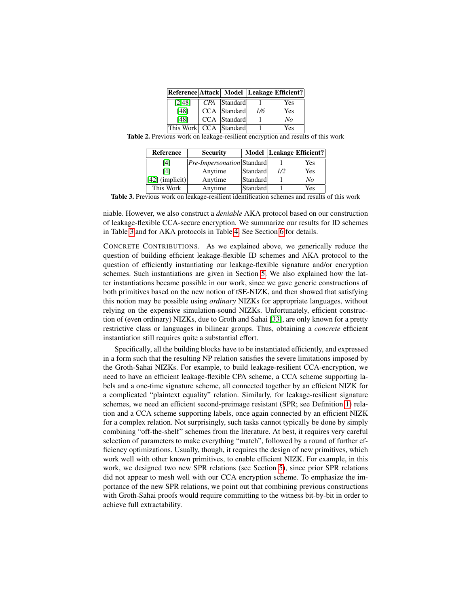| Reference Attack Model Leakage Efficient? |              |     |     |
|-------------------------------------------|--------------|-----|-----|
| [2,48]                                    | CPA Standard |     | Yes |
| [48]                                      | CCA Standard | 1/6 | Yes |
| [48]                                      | CCA Standard |     | No  |
| This Work   CCA   Standard                |              |     | Yes |

|  | Table 2. Previous work on leakage-resilient encryption and results of this work |  |
|--|---------------------------------------------------------------------------------|--|

<span id="page-4-0"></span>

| <b>Reference</b><br><b>Security</b> |                                   |          |     | Model Leakage Efficient? |
|-------------------------------------|-----------------------------------|----------|-----|--------------------------|
| [4]                                 | <i>Pre-Impersonation</i> Standard |          |     | Yes                      |
| [4]                                 | Anytime                           | Standard | 1/2 | Yes                      |
| $[42]$ (implicit)                   | Anytime                           | Standard |     | No                       |
| This Work                           | Anytime                           | Standard |     | Yes                      |

<span id="page-4-1"></span>Table 3. Previous work on leakage-resilient identification schemes and results of this work

niable. However, we also construct a *deniable* AKA protocol based on our construction of leakage-flexible CCA-secure encryption. We summarize our results for ID schemes in Table [3](#page-4-1) and for AKA protocols in Table [4.](#page-5-1) See Section [6](#page-14-0) for details.

CONCRETE CONTRIBUTIONS. As we explained above, we generically reduce the question of building efficient leakage-flexible ID schemes and AKA protocol to the question of efficiently instantiating our leakage-flexible signature and/or encryption schemes. Such instantiations are given in Section [5.](#page-12-0) We also explained how the latter instantiations became possible in our work, since we gave generic constructions of both primitives based on the new notion of tSE-NIZK, and then showed that satisfying this notion may be possible using *ordinary* NIZKs for appropriate languages, without relying on the expensive simulation-sound NIZKs. Unfortunately, efficient construction of (even ordinary) NIZKs, due to Groth and Sahai [\[33\]](#page-16-2), are only known for a pretty restrictive class or languages in bilinear groups. Thus, obtaining a *concrete* efficient instantiation still requires quite a substantial effort.

Specifically, all the building blocks have to be instantiated efficiently, and expressed in a form such that the resulting NP relation satisfies the severe limitations imposed by the Groth-Sahai NIZKs. For example, to build leakage-resilient CCA-encryption, we need to have an efficient leakage-flexible CPA scheme, a CCA scheme supporting labels and a one-time signature scheme, all connected together by an efficient NIZK for a complicated "plaintext equality" relation. Similarly, for leakage-resilient signature schemes, we need an efficient second-preimage resistant (SPR; see Definition [1\)](#page-7-0) relation and a CCA scheme supporting labels, once again connected by an efficient NIZK for a complex relation. Not surprisingly, such tasks cannot typically be done by simply combining "off-the-shelf" schemes from the literature. At best, it requires very careful selection of parameters to make everything "match", followed by a round of further efficiency optimizations. Usually, though, it requires the design of new primitives, which work well with other known primitives, to enable efficient NIZK. For example, in this work, we designed two new SPR relations (see Section [5\)](#page-12-0), since prior SPR relations did not appear to mesh well with our CCA encryption scheme. To emphasize the importance of the new SPR relations, we point out that combining previous constructions with Groth-Sahai proofs would require committing to the witness bit-by-bit in order to achieve full extractability.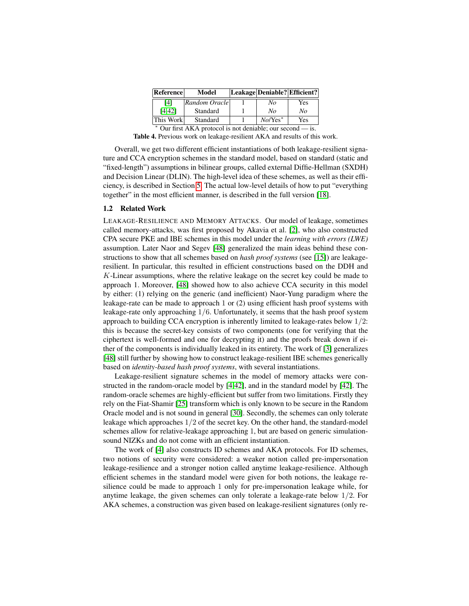| Reference                                                  | Model         |  | Leakage Deniable? Efficient? |     |
|------------------------------------------------------------|---------------|--|------------------------------|-----|
| [4]                                                        | Random Oracle |  | No                           | Yes |
| [4.42]                                                     | Standard      |  | $N_{O}$                      | No  |
| This Work                                                  | Standard      |  | $No/Yes^*$                   | Yes |
| * Our first AKA protocol is not deniable; our second — is. |               |  |                              |     |

<span id="page-5-1"></span>Table 4. Previous work on leakage-resilient AKA and results of this work.

Overall, we get two different efficient instantiations of both leakage-resilient signature and CCA encryption schemes in the standard model, based on standard (static and "fixed-length") assumptions in bilinear groups, called external Diffie-Hellman (SXDH) and Decision Linear (DLIN). The high-level idea of these schemes, as well as their efficiency, is described in Section [5.](#page-12-0) The actual low-level details of how to put "everything together" in the most efficient manner, is described in the full version [\[18\]](#page-15-6).

#### <span id="page-5-0"></span>1.2 Related Work

LEAKAGE-RESILIENCE AND MEMORY ATTACKS. Our model of leakage, sometimes called memory-attacks, was first proposed by Akavia et al. [\[2\]](#page-15-0), who also constructed CPA secure PKE and IBE schemes in this model under the *learning with errors (LWE)* assumption. Later Naor and Segev [\[48\]](#page-17-0) generalized the main ideas behind these constructions to show that all schemes based on *hash proof systems* (see [\[15\]](#page-15-7)) are leakageresilient. In particular, this resulted in efficient constructions based on the DDH and K-Linear assumptions, where the relative leakage on the secret key could be made to approach 1. Moreover, [\[48\]](#page-17-0) showed how to also achieve CCA security in this model by either: (1) relying on the generic (and inefficient) Naor-Yung paradigm where the leakage-rate can be made to approach 1 or (2) using efficient hash proof systems with leakage-rate only approaching 1/6. Unfortunately, it seems that the hash proof system approach to building CCA encryption is inherently limited to leakage-rates below  $1/2$ : this is because the secret-key consists of two components (one for verifying that the ciphertext is well-formed and one for decrypting it) and the proofs break down if either of the components is individually leaked in its entirety. The work of [\[3\]](#page-15-4) generalizes [\[48\]](#page-17-0) still further by showing how to construct leakage-resilient IBE schemes generically based on *identity-based hash proof systems*, with several instantiations.

Leakage-resilient signature schemes in the model of memory attacks were constructed in the random-oracle model by [\[4](#page-15-1)[,42\]](#page-17-1), and in the standard model by [\[42\]](#page-17-1). The random-oracle schemes are highly-efficient but suffer from two limitations. Firstly they rely on the Fiat-Shamir [\[25\]](#page-16-5) transform which is only known to be secure in the Random Oracle model and is not sound in general [\[30\]](#page-16-6). Secondly, the schemes can only tolerate leakage which approaches  $1/2$  of the secret key. On the other hand, the standard-model schemes allow for relative-leakage approaching 1, but are based on generic simulationsound NIZKs and do not come with an efficient instantiation.

The work of [\[4\]](#page-15-1) also constructs ID schemes and AKA protocols. For ID schemes, two notions of security were considered: a weaker notion called pre-impersonation leakage-resilience and a stronger notion called anytime leakage-resilience. Although efficient schemes in the standard model were given for both notions, the leakage resilience could be made to approach 1 only for pre-impersonation leakage while, for anytime leakage, the given schemes can only tolerate a leakage-rate below 1/2. For AKA schemes, a construction was given based on leakage-resilient signatures (only re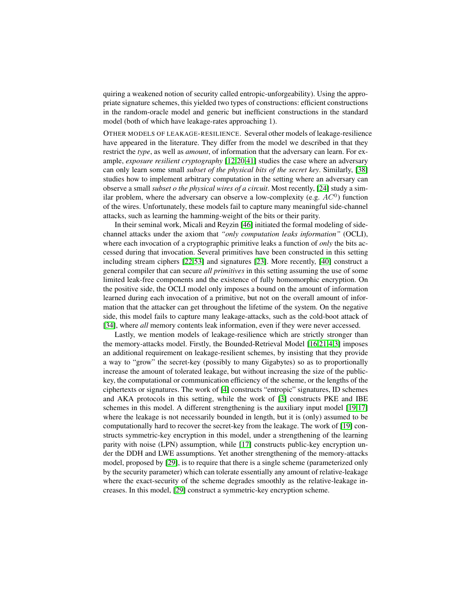quiring a weakened notion of security called entropic-unforgeability). Using the appropriate signature schemes, this yielded two types of constructions: efficient constructions in the random-oracle model and generic but inefficient constructions in the standard model (both of which have leakage-rates approaching 1).

OTHER MODELS OF LEAKAGE-RESILIENCE. Several other models of leakage-resilience have appeared in the literature. They differ from the model we described in that they restrict the *type*, as well as *amount*, of information that the adversary can learn. For example, *exposure resilient cryptography* [\[12](#page-15-8)[,20,](#page-16-7)[41\]](#page-17-8) studies the case where an adversary can only learn some small *subset of the physical bits of the secret key*. Similarly, [\[38\]](#page-16-8) studies how to implement arbitrary computation in the setting where an adversary can observe a small *subset o the physical wires of a circuit*. Most recently, [\[24\]](#page-16-9) study a similar problem, where the adversary can observe a low-complexity (e.g.  $AC^0$ ) function of the wires. Unfortunately, these models fail to capture many meaningful side-channel attacks, such as learning the hamming-weight of the bits or their parity.

In their seminal work, Micali and Reyzin [\[46\]](#page-17-9) initiated the formal modeling of sidechannel attacks under the axiom that *"only computation leaks information"* (OCLI), where each invocation of a cryptographic primitive leaks a function of *only* the bits accessed during that invocation. Several primitives have been constructed in this setting including stream ciphers [\[22,](#page-16-10)[53\]](#page-17-10) and signatures [\[23\]](#page-16-11). More recently, [\[40\]](#page-17-11) construct a general compiler that can secure *all primitives* in this setting assuming the use of some limited leak-free components and the existence of fully homomorphic encryption. On the positive side, the OCLI model only imposes a bound on the amount of information learned during each invocation of a primitive, but not on the overall amount of information that the attacker can get throughout the lifetime of the system. On the negative side, this model fails to capture many leakage-attacks, such as the cold-boot attack of [\[34\]](#page-16-1), where *all* memory contents leak information, even if they were never accessed.

Lastly, we mention models of leakage-resilience which are strictly stronger than the memory-attacks model. Firstly, the Bounded-Retrieval Model [\[16,](#page-15-9)[21,](#page-16-12)[4,](#page-15-1)[3\]](#page-15-4) imposes an additional requirement on leakage-resilient schemes, by insisting that they provide a way to "grow" the secret-key (possibly to many Gigabytes) so as to proportionally increase the amount of tolerated leakage, but without increasing the size of the publickey, the computational or communication efficiency of the scheme, or the lengths of the ciphertexts or signatures. The work of [\[4\]](#page-15-1) constructs "entropic" signatures, ID schemes and AKA protocols in this setting, while the work of [\[3\]](#page-15-4) constructs PKE and IBE schemes in this model. A different strengthening is the auxiliary input model [\[19](#page-16-13)[,17\]](#page-15-10) where the leakage is not necessarily bounded in length, but it is (only) assumed to be computationally hard to recover the secret-key from the leakage. The work of [\[19\]](#page-16-13) constructs symmetric-key encryption in this model, under a strengthening of the learning parity with noise (LPN) assumption, while [\[17\]](#page-15-10) constructs public-key encryption under the DDH and LWE assumptions. Yet another strengthening of the memory-attacks model, proposed by [\[29\]](#page-16-14), is to require that there is a single scheme (parameterized only by the security parameter) which can tolerate essentially any amount of relative-leakage where the exact-security of the scheme degrades smoothly as the relative-leakage increases. In this model, [\[29\]](#page-16-14) construct a symmetric-key encryption scheme.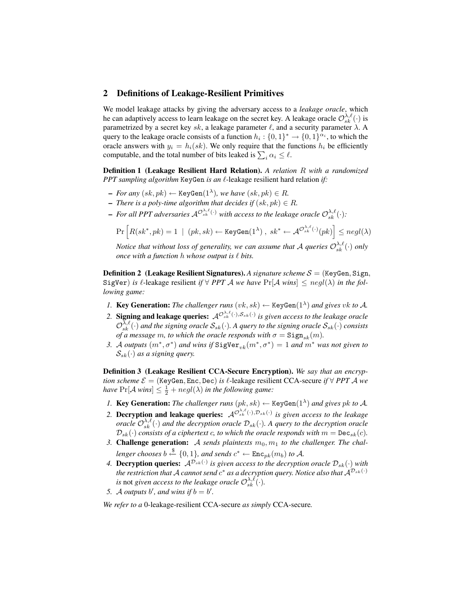## 2 Definitions of Leakage-Resilient Primitives

We model leakage attacks by giving the adversary access to a *leakage oracle*, which he can adaptively access to learn leakage on the secret key. A leakage oracle  $\mathcal{O}_{sk}^{\lambda,\ell}(\cdot)$  is parametrized by a secret key sk, a leakage parameter  $\ell$ , and a security parameter  $\lambda$ . A query to the leakage oracle consists of a function  $h_i: \{0,1\}^* \to \{0,1\}^{\alpha_i}$ , to which the oracle answers with  $y_i = h_i(sk)$ . We only require that the functions  $h_i$  be efficiently computable, and the total number of bits leaked is  $\sum_i \alpha_i \leq \ell$ .

<span id="page-7-0"></span>Definition 1 (Leakage Resilient Hard Relation). *A relation* R *with a randomized PPT sampling algorithm* KeyGen *is an*  $\ell$ -leakage resilient hard relation *if*:

- *− For any*  $(sk, pk)$  ← KeyGen $(1^{\lambda})$ *, we have*  $(sk, pk) \in R$ *.*
- $\blacksquare$  *There is a poly-time algorithm that decides if*  $(sk, pk) \in R$ .
- $-$  *For all PPT adversaries*  $\mathcal{A}^{\mathcal{O}_{sk}^{\lambda,\ell}(\cdot)}$  with access to the leakage oracle  $\mathcal{O}_{sk}^{\lambda,\ell}(\cdot)$ :

$$
\Pr\left[R(sk^*, pk) = 1 \mid (pk, sk) \leftarrow \text{KeyGen}(1^{\lambda}), sk^* \leftarrow \mathcal{A}^{\mathcal{O}_{sk}^{\lambda, \ell}(\cdot)}(pk)\right] \leq negl(\lambda)
$$

*Notice that without loss of generality, we can assume that A queries*  $\mathcal{O}_{sk}^{\lambda,\ell}(\cdot)$  *only once with a function*  $h$  *whose output is*  $\ell$  *bits.* 

**Definition 2** (Leakage Resilient Signatures). A signature scheme  $S =$  (KeyGen, Sign, SigVer) *is*  $\ell$ -leakage resilient *if*  $\forall$  *PPT* A *we have*  $Pr[A \text{ wins}] \leq negl(\lambda)$  *in the following game:*

- *1.* Key Generation: The challenger runs  $(vk, sk) \leftarrow \text{KeyGen}(1^{\lambda})$  and gives vk to A.
- 2. **Signing and leakage queries:**  $\mathcal{A}^{\mathcal{O}_{sk}^{\lambda,\ell}(\cdot),\mathcal{S}_{sk}(\cdot)}$  is given access to the leakage oracle  $\mathcal{O}_{sk}^{\bar{\lambda},\ell}(\cdot)$  and the signing oracle  $\mathcal{S}_{sk}(\cdot)$ . A query to the signing oracle  $\mathcal{S}_{sk}(\cdot)$  consists *of a message* m, to which the oracle responds with  $\sigma = \text{Sign}_{sk}(m)$ .
- *3. A outputs*  $(m^*, \sigma^*)$  *and* wins if  $\text{SigVer}_{vk}(m^*, \sigma^*) = 1$  *and*  $m^*$  *was not given to*  $S_{sk}(\cdot)$  *as a signing query.*

<span id="page-7-1"></span>Definition 3 (Leakage Resilient CCA-Secure Encryption). *We say that an encryption scheme*  $\mathcal{E} =$  (KeyGen, Enc, Dec) *is*  $\ell$ -leakage resilient CCA-secure *if*  $\forall$  *PPT A we have*  $Pr[\mathcal{A}$  *wins* $] \leq \frac{1}{2} + negl(\lambda)$  *in the following game:* 

- *1.* Key Generation: The challenger runs  $(pk, sk) \leftarrow \text{KeyGen}(1^{\lambda})$  and gives pk to A.
- 2. **Decryption and leakage queries:**  $\mathcal{A}^{\mathcal{O}_{sk}^{\lambda,\ell}(\cdot),\mathcal{D}_{sk}(\cdot)}$  *is given access to the leakage oracle*  $\mathcal{O}_{sk}^{\lambda,\ell}(\cdot)$  *and the decryption oracle*  $\mathcal{D}_{sk}(\cdot)$ *. A query to the decryption oracle*  $\mathcal{D}_{sk}(\cdot)$  *consists of a ciphertext c, to which the oracle responds with*  $m = \text{Dec}_{sk}(c)$ *.*
- 3. **Challenge generation:** A sends plaintexts  $m_0, m_1$  to the challenger. The chal*lenger chooses*  $b \stackrel{\$}{\leftarrow} \{0,1\}$ , and sends  $c^* \leftarrow \text{Enc}_{pk}(m_b)$  to A.
- 4. **Decryption queries:**  $\mathcal{A}^{\mathcal{D}_{sk}(\cdot)}$  is given access to the decryption oracle  $\mathcal{D}_{sk}(\cdot)$  with the restriction that  ${\cal A}$  cannot send  $c^*$  as a decryption query. Notice also that  ${\cal A}^{{\cal D}_{sk}(\cdot)}$ *is* not given access to the leakage oracle  $\mathcal{O}_{sk}^{\lambda,\ell}(\cdot)$ .
- 5. *A outputs b'*, and wins if  $b = b'$ .
- *We refer to a* 0-leakage-resilient CCA-secure *as simply* CCA-secure*.*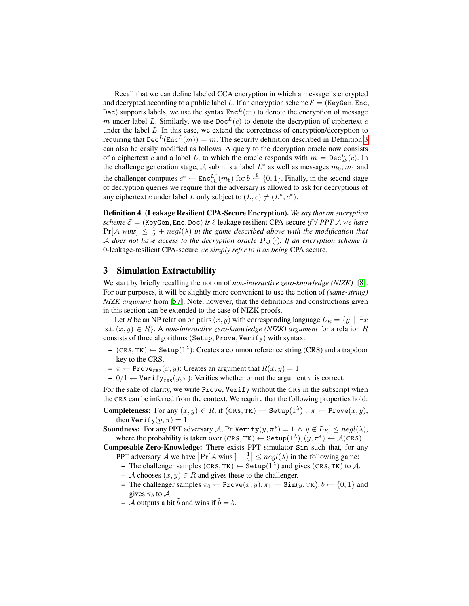Recall that we can define labeled CCA encryption in which a message is encrypted and decrypted according to a public label L. If an encryption scheme  $\mathcal{E} =$  (KeyGen, Enc, Dec) supports labels, we use the syntax  $Enc<sup>L</sup>(m)$  to denote the encryption of message m under label L. Similarly, we use  $\text{Dec}^L(c)$  to denote the decryption of ciphertext c under the label  $L$ . In this case, we extend the correctness of encryption/decryption to requiring that  $\text{Dec}^L(\text{Enc}^L(m)) = m$ . The security definition described in Definition [3](#page-7-1) can also be easily modified as follows. A query to the decryption oracle now consists of a ciphertext c and a label L, to which the oracle responds with  $m = \text{Dec}_{sk}^{L}(c)$ . In the challenge generation stage, A submits a label  $L^*$  as well as messages  $m_0, m_1$  and the challenger computes  $c^* \leftarrow \text{Enc}_{pk}^{L^*}(m_b)$  for  $b \stackrel{\$}{\leftarrow} \{0,1\}$ . Finally, in the second stage of decryption queries we require that the adversary is allowed to ask for decryptions of any ciphertext c under label L only subject to  $(L, c) \neq (L^*, c^*)$ .

Definition 4 (Leakage Resilient CPA-Secure Encryption). *We say that an encryption scheme*  $\mathcal{E} =$  (KeyGen, Enc, Dec) *is*  $\ell$ -leakage resilient CPA-secure *if*  $\forall$  *PPT A we have*  $Pr[\mathcal{A} \text{ wins}] \leq \frac{1}{2} + negl(\lambda)$  *in the game described above with the modification that* A does not have access to the decryption oracle  $\mathcal{D}_{sk}(\cdot)$ . If an encryption scheme is 0-leakage-resilient CPA-secure *we simply refer to it as being* CPA secure*.*

## <span id="page-8-0"></span>3 Simulation Extractability

We start by briefly recalling the notion of *non-interactive zero-knowledge (NIZK)* [\[8\]](#page-15-11). For our purposes, it will be slightly more convenient to use the notion of *(same-string) NIZK argument* from [\[57\]](#page-17-12). Note, however, that the definitions and constructions given in this section can be extended to the case of NIZK proofs.

Let R be an NP relation on pairs  $(x, y)$  with corresponding language  $L_R = \{y \mid \exists x$ s.t.  $(x, y) \in R$ . A *non-interactive zero-knowledge (NIZK) argument* for a relation R consists of three algorithms (Setup, Prove, Verify) with syntax:

- $-$  (CRS, TK)  $\leftarrow$  Setup $(1^{\lambda})$ : Creates a common reference string (CRS) and a trapdoor key to the CRS.
- $-\pi \leftarrow$  Prove<sub>CRS</sub> $(x, y)$ : Creates an argument that  $R(x, y) = 1$ .
- $-0/1 \leftarrow$  Verify<sub>CRS</sub> $(y, \pi)$ : Verifies whether or not the argument  $\pi$  is correct.

For the sake of clarity, we write Prove, Verify without the CRS in the subscript when the CRS can be inferred from the context. We require that the following properties hold:

- **Completeness:** For any  $(x, y) \in R$ , if  $(CRS, TK) \leftarrow$  Setup $(1^{\lambda})$ ,  $\pi \leftarrow$  Prove $(x, y)$ , then  $Verify(y, \pi) = 1$ .
- **Soundness:** For any PPT adversary  $\mathcal{A}$ ,  $Pr[Verify(y, \pi^*) = 1 \land y \notin L_R] \leq negl(\lambda)$ , where the probability is taken over  $(CRS, TK) \leftarrow \text{Setup}(1^{\lambda}), (y, \pi^*) \leftarrow \mathcal{A}(CRS)$ .

Composable Zero-Knowledge: There exists PPT simulator Sim such that, for any

- PPT adversary A we have  $\left|\Pr[\mathcal{A} \text{ wins}] \frac{1}{2}\right| \leq negl(\lambda)$  in the following game:
	- The challenger samples  $(CRS, TK) \leftarrow$  Setup $(1^{\lambda})$  and gives  $(CRS, TK)$  to A.
	- A chooses  $(x, y) \in R$  and gives these to the challenger.
	- The challenger samples  $\pi_0 \leftarrow \text{Prove}(x, y), \pi_1 \leftarrow \text{Sim}(y, \text{TK}), b \leftarrow \{0, 1\}$  and gives  $\pi_b$  to A.
	- A outputs a bit b and wins if  $\hat{b} = b$ .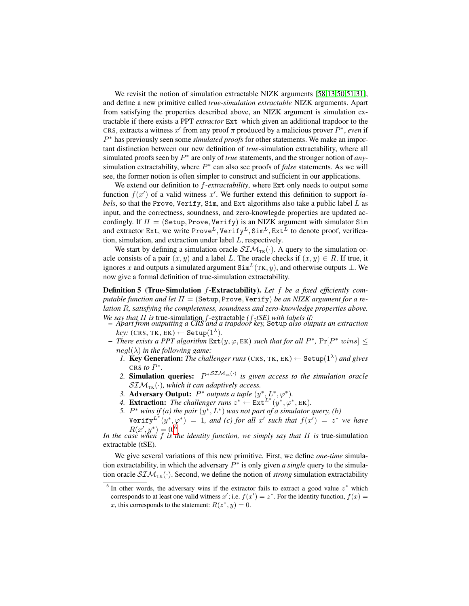We revisit the notion of simulation extractable NIZK arguments [\[58](#page-17-13)[,13](#page-15-12)[,50](#page-17-14)[,51](#page-17-15)[,31\]](#page-16-3), and define a new primitive called *true-simulation extractable* NIZK arguments. Apart from satisfying the properties described above, an NIZK argument is simulation extractable if there exists a PPT *extractor* Ext which given an additional trapdoor to the CRS, extracts a witness  $x'$  from any proof  $\pi$  produced by a malicious prover  $P^*$ , *even* if P <sup>∗</sup> has previously seen some *simulated proofs* for other statements. We make an important distinction between our new definition of *true*-simulation extractability, where all simulated proofs seen by P ∗ are only of *true* statements, and the stronger notion of *any*simulation extractability, where  $P^*$  can also see proofs of *false* statements. As we will see, the former notion is often simpler to construct and sufficient in our applications.

We extend our definition to f*-extractability*, where Ext only needs to output some function  $f(x')$  of a valid witness  $x'$ . We further extend this definition to support *labels*, so that the Prove, Verify, Sim, and Ext algorithms also take a public label L as input, and the correctness, soundness, and zero-knowlegde properties are updated accordingly. If  $\Pi = (Setup, Prove, Verify)$  is an NIZK argument with simulator Sim and extractor Ext, we write  $\text{Prove}^L$ ,  $\text{Verify}^L$ ,  $\text{Sim}^L$ ,  $\text{Ext}^L$  to denote proof, verification, simulation, and extraction under label L, respectively.

We start by defining a simulation oracle  $STM_{TK}(\cdot)$ . A query to the simulation oracle consists of a pair  $(x, y)$  and a label L. The oracle checks if  $(x, y) \in R$ . If true, it ignores x and outputs a simulated argument  $Sim<sup>L</sup>(TK, y)$ , and otherwise outputs ⊥. We now give a formal definition of true-simulation extractability.

Definition 5 (True-Simulation f-Extractability). *Let* f *be a fixed efficiently computable function and let*  $\Pi =$  (Setup, Prove, Verify) *be an NIZK argument for a relation* R*, satisfying the completeness, soundness and zero-knowledge properties above. We say that* Π *is* true-simulation f-extractable *(*f*-tSE) with labels if:* – *Apart from outputting a CRS and a trapdoor key,* Setup *also outputs an extraction*

- $key:$  (CRS, TK, EK)  $\leftarrow$  Setup $(1^{\lambda}).$
- $-$  There exists a PPT algorithm  $\text{Ext}(y, \varphi, \text{EK})$  such that for all  $P^*$ ,  $\Pr[P^* \text{ wins}] \leq$  $negl(\lambda)$  *in the following game:* 
	- 1. **Key Generation:** The challenger runs (CRS, TK, EK)  $\leftarrow$  Setup(1<sup> $\lambda$ </sup>) and gives CRS *to*  $P^*$ .
	- 2. **Simulation queries:**  $P^{*SIM_{TK}(\cdot)}$  is given access to the simulation oracle  $SIM_{TK}(\cdot)$ *, which it can adaptively access.*
	- 3. **Adversary Output:**  $P^*$  *outputs a tuple*  $(y^*, L^*, \varphi^*)$ .
	- 4. **Extraction:** The challenger runs  $z^* \leftarrow \text{Ext}^{L^*}(y^*, \varphi^*, \text{EK})$ .
	- 5.  $P^*$  wins if (a) the pair  $(y^*, L^*)$  was not part of a simulator query, (b)
	- $\texttt{Verify}^{L^*}(y^*,\varphi^*) \ = \ 1, \ and \ (c) \ for \ all \ x' \ such \ that \ f(x') \ = \ z^* \ \ we \ have$  $R(x', y^*) = 0.6$  $R(x', y^*) = 0.6$

<span id="page-9-1"></span>*In the case when* f *is the identity function, we simply say that* Π *is* true-simulation extractable (tSE)*.*

We give several variations of this new primitive. First, we define *one-time* simulation extractability, in which the adversary  $P^*$  is only given *a single* query to the simulation oracle  $STM_{TK}(\cdot)$ . Second, we define the notion of *strong* simulation extractability

<span id="page-9-0"></span> $6$  In other words, the adversary wins if the extractor fails to extract a good value  $z^*$  which corresponds to at least one valid witness  $x'$ ; i.e.  $f(x') = z^*$ . For the identity function,  $f(x) =$ x, this corresponds to the statement:  $R(z^*, y) = 0$ .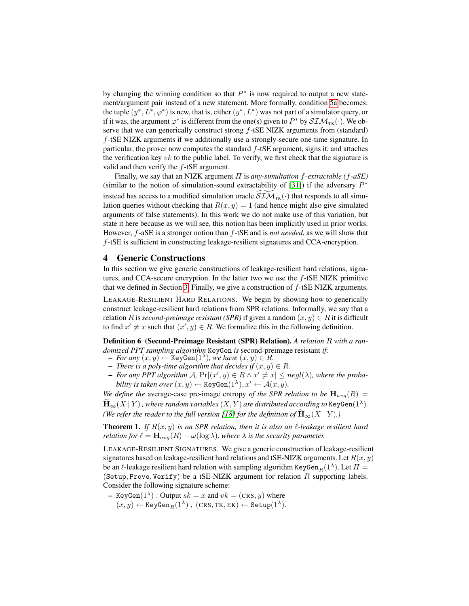by changing the winning condition so that  $P^*$  is now required to output a new statement/argument pair instead of a new statement. More formally, condition [5a](#page-9-1) becomes: the tuple  $(y^*, L^*, \varphi^*)$  is new, that is, either  $(y^*, L^*)$  was not part of a simulator query, or if it was, the argument  $\varphi^*$  is different from the one(s) given to  $P^*$  by  $\mathcal{SIM}_{TK}(\cdot)$ . We observe that we can generically construct strong  $f$ -tSE NIZK arguments from (standard) f-tSE NIZK arguments if we additionally use a strongly-secure one-time signature. In particular, the prover now computes the standard  $f$ -tSE argument, signs it, and attaches the verification key vk to the public label. To verify, we first check that the signature is valid and then verify the f-tSE argument.

Finally, we say that an NIZK argument Π is *any-simultation* f*-extractable (*f*-aSE)* (similar to the notion of simulation-sound extractability of [\[31\]](#page-16-3)) if the adversary  $P^*$ instead has access to a modified simulation oracle  $\mathcal{SIM}_{TK}(\cdot)$  that responds to all simulation queries without checking that  $R(x, y) = 1$  (and hence might also give simulated arguments of false statements). In this work we do not make use of this variation, but state it here because as we will see, this notion has been implicitly used in prior works. However, f-aSE is a stronger notion than f-tSE and is *not needed*, as we will show that f-tSE is sufficient in constructing leakage-resilient signatures and CCA-encryption.

### <span id="page-10-0"></span>4 Generic Constructions

In this section we give generic constructions of leakage-resilient hard relations, signatures, and CCA-secure encryption. In the latter two we use the  $f$ -tSE NIZK primitive that we defined in Section [3.](#page-8-0) Finally, we give a construction of  $f$ -tSE NIZK arguments.

LEAKAGE-RESILIENT HARD RELATIONS. We begin by showing how to generically construct leakage-resilient hard relations from SPR relations. Informally, we say that a relation R is *second-preimage resistant* (SPR) if given a random  $(x, y) \in R$  it is difficult to find  $x' \neq x$  such that  $(x', y) \in R$ . We formalize this in the following definition.

Definition 6 (Second-Preimage Resistant (SPR) Relation). *A relation* R *with a randomized PPT sampling algorithm* KeyGen *is* second-preimage resistant *if:*

- $\overline{\phantom{a}}$  *For any*  $(x, y) \leftarrow$  KeyGen $(1^{\lambda})$ *, we have*  $(x, y) \in R$ *.*
- $\blacksquare$  *There is a poly-time algorithm that decides if*  $(x, y) \in R$ *.*
- **−** *For any PPT algorithm A,*  $Pr[(x', y) \in R \land x' \neq x]$  ≤  $negl(\lambda)$ *, where the probability is taken over*  $(x, y) \leftarrow \text{KeyGen}(1^{\lambda}), x' \leftarrow \mathcal{A}(x, y)$ *.*

*We define the* average-case pre-image entropy *of the SPR relation to be*  $\mathbf{H}_{avg}(R)$  =  $\widetilde{\mathbf{H}}_{\infty}(X | Y)$  , where random variables  $(X, Y)$  are distributed according to KeyGen( $1^{\lambda}$ ). *(We refer the reader to the full version [\[18\]](#page-15-6) for the definition of*  $\mathbf{H}_{\infty}(X | Y)$ *.)* 

**Theorem 1.** If  $R(x, y)$  is an SPR relation, then it is also an  $\ell$ -leakage resilient hard *relation for*  $\ell = \mathbf{H}_{avg}(R) - \omega(\log \lambda)$ , where  $\lambda$  *is the security parameter.* 

LEAKAGE-RESILIENT SIGNATURES. We give a generic construction of leakage-resilient signatures based on leakage-resilient hard relations and tSE-NIZK arguments. Let  $R(x, y)$ be an  $\ell$ -leakage resilient hard relation with sampling algorithm KeyGen $_R(1^\lambda)$ . Let  $\Pi=$ (Setup, Prove, Verify) be a tSE-NIZK argument for relation  $R$  supporting labels. Consider the following signature scheme:

- KeyGen $(1^{\lambda})$ : Output  $sk = x$  and  $vk = (CRS, y)$  where  $(x,y) \leftarrow \texttt{KeyGen}_R(1^{\lambda}) \text{ , } (\texttt{CRS}, \texttt{TK}, \texttt{EK}) \leftarrow \texttt{Setup}(1^{\lambda}).$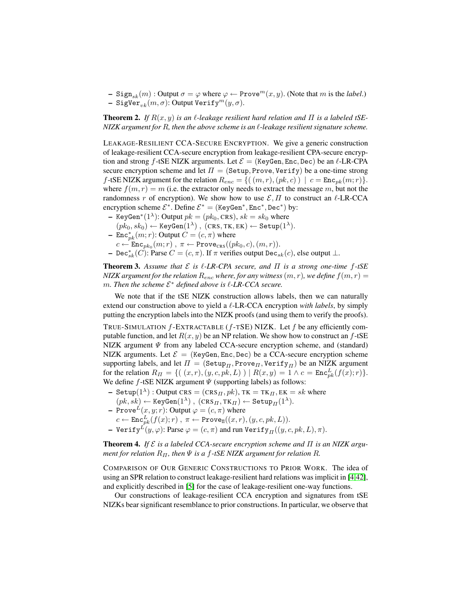$-$  Sign<sub>sk</sub> $(m)$ : Output  $\sigma = \varphi$  where  $\varphi \leftarrow$  Prove $^m(x, y)$ . (Note that m is the *label*.) – SigVer<sub>vk</sub> $(m, \sigma)$ : Output Verify<sup>m</sup> $(y, \sigma)$ .

**Theorem 2.** If  $R(x, y)$  is an  $\ell$ -leakage resilient hard relation and  $\Pi$  is a labeled tSE-*NIZK argument for R, then the above scheme is an*  $\ell$ *-leakage resilient signature scheme.* 

LEAKAGE-RESILIENT CCA-SECURE ENCRYPTION. We give a generic construction of leakage-resilient CCA-secure encryption from leakage-resilient CPA-secure encryption and strong f-tSE NIZK arguments. Let  $\mathcal{E} =$  (KeyGen, Enc, Dec) be an  $\ell$ -LR-CPA secure encryption scheme and let  $\Pi = (Setup, Prove, Verify)$  be a one-time strong f-tSE NIZK argument for the relation  $R_{enc} = \{((m, r), (pk, c)) \mid c = \text{Enc}_{pk}(m; r)\}.$ where  $f(m, r) = m$  (i.e. the extractor only needs to extract the message m, but not the randomness r of encryption). We show how to use  $\mathcal{E}, \Pi$  to construct an  $\ell$ -LR-CCA encryption scheme  $\mathcal{E}^*$ . Define  $\mathcal{E}^* =$  (KeyGen<sup>\*</sup>, Enc<sup>\*</sup>, Dec<sup>\*</sup>) by:

- KeyGen<sup>\*</sup>(1<sup> $\lambda$ </sup>): Output  $pk = (pk_0, CRs)$ ,  $sk = sk_0$  where  $(pk_0, sk_0) \leftarrow \texttt{KeyGen}(1^{\lambda})$ ,  $(\texttt{CRS}, \texttt{TK}, \texttt{EK}) \leftarrow \texttt{Setup}(1^{\lambda}).$
- $\textsf{Enc}_{pk}^*(m;r)$ : Output  $C = (c, \pi)$  where
- $c \leftarrow \texttt{Enc}_{pk_0}(m;r) \ , \ \pi \leftarrow \texttt{Prove}_{\texttt{CRS}}((pk_0, c), (m,r)).$
- $\texttt{- Dec}_{sk}^*(C)$ : Parse  $C = (c, π)$ . If π verifies output Dec<sub>sk</sub> $(c)$ , else output ⊥.

**Theorem 3.** Assume that  $\mathcal E$  is  $\ell$ -LR-CPA secure, and  $\Pi$  is a strong one-time  $f$ -tSE *NIZK argument for the relation*  $R_{enc}$  *where, for any witness*  $(m, r)$ *, we define*  $f(m, r)$  = m. Then the scheme  $\mathcal{E}^*$  defined above is l-LR-CCA secure.

We note that if the tSE NIZK construction allows labels, then we can naturally extend our construction above to yield a  $\ell$ -LR-CCA encryption *with labels*, by simply putting the encryption labels into the NIZK proofs (and using them to verify the proofs).

TRUE-SIMULATION  $f$ -EXTRACTABLE ( $f$ -TSE) NIZK. Let f be any efficiently computable function, and let  $R(x, y)$  be an NP relation. We show how to construct an f-tSE NIZK argument  $\Psi$  from any labeled CCA-secure encryption scheme, and (standard) NIZK arguments. Let  $\mathcal{E} =$  (KeyGen, Enc, Dec) be a CCA-secure encryption scheme supporting labels, and let  $\Pi = (\texttt{Setup}_{\Pi}, \texttt{Prove}_{\Pi}, \texttt{Verify}_{\Pi})$  be an NIZK argument for the relation  $R_{\Pi} = \{ (x, r), (y, c, pk, L) \mid R(x, y) = 1 \land c = \text{Enc}_{pk}^{L}(f(x); r) \}.$ We define  $f$ -tSE NIZK argument  $\Psi$  (supporting labels) as follows:

- $\texttt{-}$  Setup $(1^{\lambda})$  : Output CRS  $=$   $(\texttt{CRS}_{\Pi}, pk)$ , TK  $=$  TK $_{\Pi}, \texttt{EK}$   $= sk$  where  $(pk, sk) \leftarrow \texttt{KeyGen}(1^{\lambda})$  ,  $(\texttt{CRS}_{\Pi}, \texttt{TK}_{\Pi}) \leftarrow \texttt{Setup}_{\Pi}(1^{\lambda}).$
- Prove $L(x, y; r)$ : Output  $\varphi = (c, \pi)$  where
- $c \leftarrow {\tt Enc}_{pk}^L(f(x); r)$  ,  $\pi \leftarrow {\tt Prove}_{\Pi}((x,r),(y,c,pk,L)).$
- Verify $L^L(y, \varphi)$ : Parse  $\varphi = (c, \pi)$  and run Verify $\pi((y, c, pk, L), \pi)$ .

Theorem 4. *If* E *is a labeled CCA-secure encryption scheme and* Π *is an NIZK argument for relation*  $R_{\Pi}$ *, then*  $\Psi$  *is a f-tSE NIZK argument for relation*  $R$ *.* 

COMPARISON OF OUR GENERIC CONSTRUCTIONS TO PRIOR WORK. The idea of using an SPR relation to construct leakage-resilient hard relations was implicit in [\[4](#page-15-1)[,42\]](#page-17-1), and explicitly described in [\[5\]](#page-15-13) for the case of leakage-resilient one-way functions.

Our constructions of leakage-resilient CCA encryption and signatures from tSE NIZKs bear significant resemblance to prior constructions. In particular, we observe that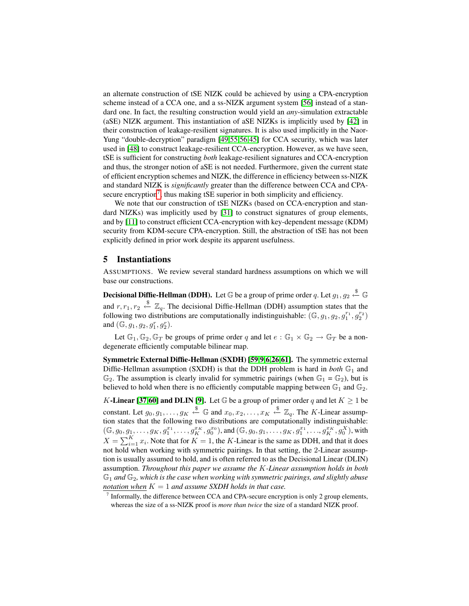an alternate construction of tSE NIZK could be achieved by using a CPA-encryption scheme instead of a CCA one, and a ss-NIZK argument system [\[56\]](#page-17-5) instead of a standard one. In fact, the resulting construction would yield an *any*-simulation extractable (aSE) NIZK argument. This instantiation of aSE NIZKs is implicitly used by [\[42\]](#page-17-1) in their construction of leakage-resilient signatures. It is also used implicitly in the Naor-Yung "double-decryption" paradigm [\[49,](#page-17-6)[55,](#page-17-7)[56](#page-17-5)[,45\]](#page-17-16) for CCA security, which was later used in [\[48\]](#page-17-0) to construct leakage-resilient CCA-encryption. However, as we have seen, tSE is sufficient for constructing *both* leakage-resilient signatures and CCA-encryption and thus, the stronger notion of aSE is not needed. Furthermore, given the current state of efficient encryption schemes and NIZK, the difference in efficiency between ss-NIZK and standard NIZK is *significantly* greater than the difference between CCA and CPA-secure encryption<sup>[7](#page-12-1)</sup>, thus making tSE superior in both simplicity and efficiency.

We note that our construction of tSE NIZKs (based on CCA-encryption and standard NIZKs) was implicitly used by [\[31\]](#page-16-3) to construct signatures of group elements, and by [\[11\]](#page-15-5) to construct efficient CCA-encryption with key-dependent message (KDM) security from KDM-secure CPA-encryption. Still, the abstraction of tSE has not been explicitly defined in prior work despite its apparent usefulness.

## <span id="page-12-0"></span>5 Instantiations

ASSUMPTIONS. We review several standard hardness assumptions on which we will base our constructions.

**Decisional Diffie-Hellman (DDH).** Let  $\mathbb G$  be a group of prime order  $q.$  Let  $g_1, g_2 \stackrel{\$}{\leftarrow} \mathbb G$ and  $r, r_1, r_2 \stackrel{\$}{\leftarrow} \mathbb{Z}_q$ . The decisional Diffie-Hellman (DDH) assumption states that the following two distributions are computationally indistinguishable:  $(G, g_1, g_2, g_1^{r_1}, g_2^{r_2})$ and  $(\mathbb{G}, g_1, g_2, g_1^r, g_2^r)$ .

Let  $\mathbb{G}_1, \mathbb{G}_2, \mathbb{G}_T$  be groups of prime order q and let  $e : \mathbb{G}_1 \times \mathbb{G}_2 \to \mathbb{G}_T$  be a nondegenerate efficiently computable bilinear map.

Symmetric External Diffie-Hellman (SXDH) [\[59,](#page-17-17)[9,](#page-15-14)[6,](#page-15-15)[26](#page-16-15)[,61\]](#page-17-18). The symmetric external Diffie-Hellman assumption (SXDH) is that the DDH problem is hard in *both*  $\mathbb{G}_1$  and  $\mathbb{G}_2$ . The assumption is clearly invalid for symmetric pairings (when  $\mathbb{G}_1 = \mathbb{G}_2$ ), but is believed to hold when there is no efficiently computable mapping between  $\mathbb{G}_1$  and  $\mathbb{G}_2$ .

K-Linear [\[37,](#page-16-16)[60\]](#page-17-19) and DLIN [\[9\]](#page-15-14). Let  $\mathbb G$  be a group of primer order q and let  $K \geq 1$  be constant. Let  $g_0, g_1, \ldots, g_K \stackrel{\$}{\leftarrow} \mathbb{G}$  and  $x_0, x_2, \ldots, x_K \stackrel{\$}{\leftarrow} \mathbb{Z}_q$ . The K-Linear assumption states that the following two distributions are computationally indistinguishable:  $(\mathbb{G}, g_0, g_1, \ldots, g_K, g_1^{x_1}, \ldots, g_K^{x_K}, g_0^{x_0})$ , and  $(\mathbb{G}, g_0, g_1, \ldots, g_K, g_1^{x_1}, \ldots, g_K^{x_K}, g_0^X)$ , with  $X = \sum_{i=1}^{K} x_i$ . Note that for  $K = 1$ , the K-Linear is the same as DDH, and that it does not hold when working with symmetric pairings. In that setting, the 2-Linear assumption is usually assumed to hold, and is often referred to as the Decisional Linear (DLIN) assumption. *Throughout this paper we assume the* K*-Linear assumption holds in both*  $\mathbb{G}_1$  and  $\mathbb{G}_2$ , which is the case when working with symmetric pairings, and slightly abuse *notation when*  $K = 1$  *and assume SXDH holds in that case.* 

<span id="page-12-1"></span> $<sup>7</sup>$  Informally, the difference between CCA and CPA-secure encryption is only 2 group elements,</sup> whereas the size of a ss-NIZK proof is *more than twice* the size of a standard NIZK proof.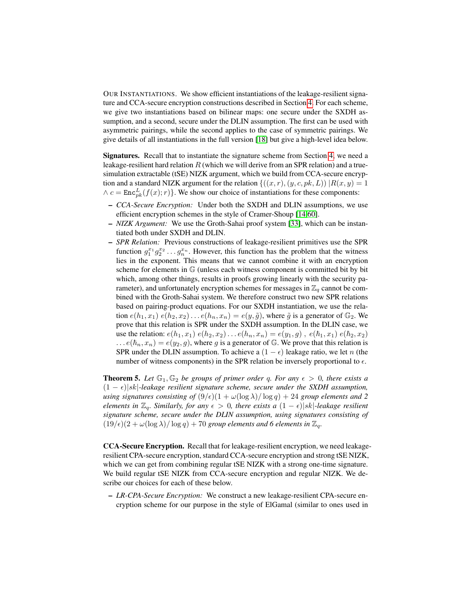OUR INSTANTIATIONS. We show efficient instantiations of the leakage-resilient signature and CCA-secure encryption constructions described in Section [4.](#page-10-0) For each scheme, we give two instantiations based on bilinear maps: one secure under the SXDH assumption, and a second, secure under the DLIN assumption. The first can be used with asymmetric pairings, while the second applies to the case of symmetric pairings. We give details of all instantiations in the full version [\[18\]](#page-15-6) but give a high-level idea below.

Signatures. Recall that to instantiate the signature scheme from Section [4,](#page-10-0) we need a leakage-resilient hard relation  $R$  (which we will derive from an SPR relation) and a truesimulation extractable (tSE) NIZK argument, which we build from CCA-secure encryption and a standard NIZK argument for the relation  $\{(x, r), (y, c, pk, L)\}\|R(x, y)\| = 1$  $\wedge c = \text{Enc}_{pk}^{L}(f(x); r)$ . We show our choice of instantiations for these components:

- *CCA-Secure Encryption:* Under both the SXDH and DLIN assumptions, we use efficient encryption schemes in the style of Cramer-Shoup [\[14,](#page-15-16)[60\]](#page-17-19).
- *NIZK Argument:* We use the Groth-Sahai proof system [\[33\]](#page-16-2), which can be instantiated both under SXDH and DLIN.
- *SPR Relation:* Previous constructions of leakage-resilient primitives use the SPR function  $g_1^{x_1} g_2^{x_2} \dots g_n^{x_n}$ . However, this function has the problem that the witness lies in the exponent. This means that we cannot combine it with an encryption scheme for elements in G (unless each witness component is committed bit by bit which, among other things, results in proofs growing linearly with the security parameter), and unfortunately encryption schemes for messages in  $\mathbb{Z}_q$  cannot be combined with the Groth-Sahai system. We therefore construct two new SPR relations based on pairing-product equations. For our SXDH instantiation, we use the relation  $e(h_1, x_1)$   $e(h_2, x_2) \dots e(h_n, x_n) = e(y, \tilde{g})$ , where  $\tilde{g}$  is a generator of  $\mathbb{G}_2$ . We prove that this relation is SPR under the SXDH assumption. In the DLIN case, we use the relation:  $e(h_1, x_1) e(h_2, x_2) \dots e(h_n, x_n) = e(y_1, g)$ ,  $e(h_1, x_1) e(h_2, x_2)$ ...  $e(h_n, x_n) = e(y_2, g)$ , where g is a generator of G. We prove that this relation is SPR under the DLIN assumption. To achieve a  $(1 - \epsilon)$  leakage ratio, we let n (the number of witness components) in the SPR relation be inversely proportional to  $\epsilon$ .

**Theorem 5.** Let  $\mathbb{G}_1$ ,  $\mathbb{G}_2$  be groups of primer order q. For any  $\epsilon > 0$ , there exists a  $(1 - \epsilon)|sk|$ -leakage resilient signature scheme, secure under the SXDH assumption, *using signatures consisting of*  $(9/\epsilon)(1 + \omega(\log \lambda)/\log q) + 24$  *group elements and* 2 *elements in*  $\mathbb{Z}_q$ *. Similarly, for any*  $\epsilon > 0$ *, there exists a*  $(1 - \epsilon)|sk|$ *-leakage resilient signature scheme, secure under the DLIN assumption, using signatures consisting of*  $(19/\epsilon)(2 + \omega(\log \lambda)/\log q) + 70$  *group elements and 6 elements in*  $\mathbb{Z}_q$ *.* 

CCA-Secure Encryption. Recall that for leakage-resilient encryption, we need leakageresilient CPA-secure encryption, standard CCA-secure encryption and strong tSE NIZK, which we can get from combining regular tSE NIZK with a strong one-time signature. We build regular tSE NIZK from CCA-secure encryption and regular NIZK. We describe our choices for each of these below.

– *LR-CPA-Secure Encryption:* We construct a new leakage-resilient CPA-secure encryption scheme for our purpose in the style of ElGamal (similar to ones used in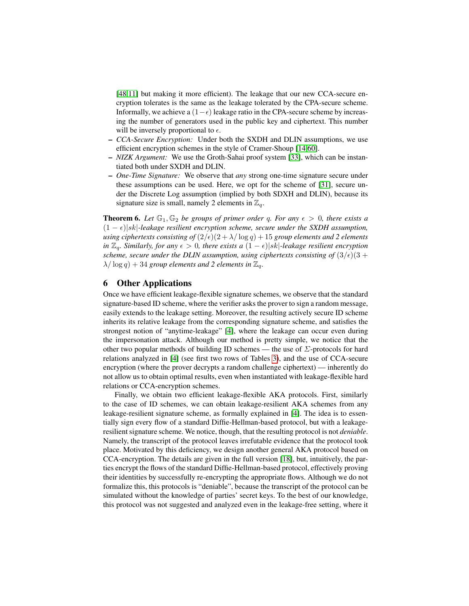[\[48](#page-17-0)[,11\]](#page-15-5) but making it more efficient). The leakage that our new CCA-secure encryption tolerates is the same as the leakage tolerated by the CPA-secure scheme. Informally, we achieve a  $(1-\epsilon)$  leakage ratio in the CPA-secure scheme by increasing the number of generators used in the public key and ciphertext. This number will be inversely proportional to  $\epsilon$ .

- *CCA-Secure Encryption:* Under both the SXDH and DLIN assumptions, we use efficient encryption schemes in the style of Cramer-Shoup [\[14,](#page-15-16)[60\]](#page-17-19).
- *NIZK Argument:* We use the Groth-Sahai proof system [\[33\]](#page-16-2), which can be instantiated both under SXDH and DLIN.
- *One-Time Signature:* We observe that *any* strong one-time signature secure under these assumptions can be used. Here, we opt for the scheme of [\[31\]](#page-16-3), secure under the Discrete Log assumption (implied by both SDXH and DLIN), because its signature size is small, namely 2 elements in  $\mathbb{Z}_q$ .

**Theorem 6.** Let  $\mathbb{G}_1, \mathbb{G}_2$  be groups of primer order q. For any  $\epsilon > 0$ , there exists a  $(1 - \epsilon)|sk|$ -leakage resilient encryption scheme, secure under the SXDH assumption, *using ciphertexts consisting of*  $\left(\frac{2}{\epsilon}\right)(2 + \lambda/\log q) + 15$  *group elements and 2 elements in*  $\mathbb{Z}_q$ *. Similarly, for any*  $\epsilon > 0$ *, there exists a*  $(1 - \epsilon)|sk|$ *-leakage resilient encryption scheme, secure under the DLIN assumption, using ciphertexts consisting of*  $(3/\epsilon)(3 +$  $\lambda/\log q$ ) + 34 *group elements and 2 elements in*  $\mathbb{Z}_q$ .

# <span id="page-14-0"></span>6 Other Applications

Once we have efficient leakage-flexible signature schemes, we observe that the standard signature-based ID scheme, where the verifier asks the prover to sign a random message, easily extends to the leakage setting. Moreover, the resulting actively secure ID scheme inherits its relative leakage from the corresponding signature scheme, and satisfies the strongest notion of "anytime-leakage" [\[4\]](#page-15-1), where the leakage can occur even during the impersonation attack. Although our method is pretty simple, we notice that the other two popular methods of building ID schemes — the use of  $\Sigma$ -protocols for hard relations analyzed in [\[4\]](#page-15-1) (see first two rows of Tables [3\)](#page-4-1), and the use of CCA-secure encryption (where the prover decrypts a random challenge ciphertext) — inherently do not allow us to obtain optimal results, even when instantiated with leakage-flexible hard relations or CCA-encryption schemes.

Finally, we obtain two efficient leakage-flexible AKA protocols. First, similarly to the case of ID schemes, we can obtain leakage-resilient AKA schemes from any leakage-resilient signature scheme, as formally explained in [\[4\]](#page-15-1). The idea is to essentially sign every flow of a standard Diffie-Hellman-based protocol, but with a leakageresilient signature scheme. We notice, though, that the resulting protocol is not *deniable*. Namely, the transcript of the protocol leaves irrefutable evidence that the protocol took place. Motivated by this deficiency, we design another general AKA protocol based on CCA-encryption. The details are given in the full version [\[18\]](#page-15-6), but, intuitively, the parties encrypt the flows of the standard Diffie-Hellman-based protocol, effectively proving their identities by successfully re-encrypting the appropriate flows. Although we do not formalize this, this protocols is "deniable", because the transcript of the protocol can be simulated without the knowledge of parties' secret keys. To the best of our knowledge, this protocol was not suggested and analyzed even in the leakage-free setting, where it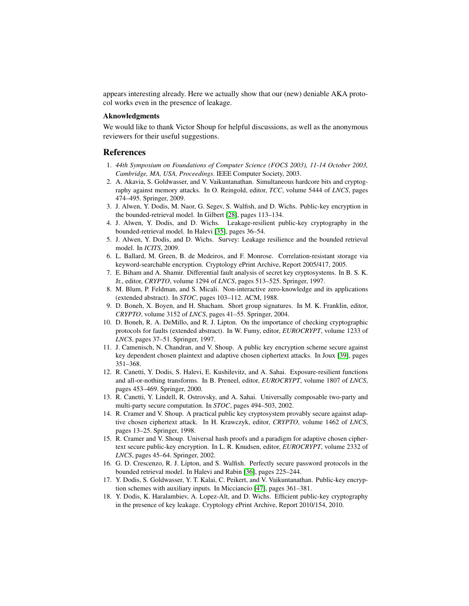appears interesting already. Here we actually show that our (new) deniable AKA protocol works even in the presence of leakage.

#### Aknowledgments

We would like to thank Victor Shoup for helpful discussions, as well as the anonymous reviewers for their useful suggestions.

## References

- <span id="page-15-17"></span>1. *44th Symposium on Foundations of Computer Science (FOCS 2003), 11-14 October 2003, Cambridge, MA, USA, Proceedings*. IEEE Computer Society, 2003.
- <span id="page-15-0"></span>2. A. Akavia, S. Goldwasser, and V. Vaikuntanathan. Simultaneous hardcore bits and cryptography against memory attacks. In O. Reingold, editor, *TCC*, volume 5444 of *LNCS*, pages 474–495. Springer, 2009.
- <span id="page-15-4"></span>3. J. Alwen, Y. Dodis, M. Naor, G. Segev, S. Walfish, and D. Wichs. Public-key encryption in the bounded-retrieval model. In Gilbert [\[28\]](#page-16-17), pages 113–134.
- <span id="page-15-1"></span>4. J. Alwen, Y. Dodis, and D. Wichs. Leakage-resilient public-key cryptography in the bounded-retrieval model. In Halevi [\[35\]](#page-16-18), pages 36–54.
- <span id="page-15-13"></span>5. J. Alwen, Y. Dodis, and D. Wichs. Survey: Leakage resilience and the bounded retrieval model. In *ICITS*, 2009.
- <span id="page-15-15"></span>6. L. Ballard, M. Green, B. de Medeiros, and F. Monrose. Correlation-resistant storage via keyword-searchable encryption. Cryptology ePrint Archive, Report 2005/417, 2005.
- <span id="page-15-3"></span>7. E. Biham and A. Shamir. Differential fault analysis of secret key cryptosystems. In B. S. K. Jr., editor, *CRYPTO*, volume 1294 of *LNCS*, pages 513–525. Springer, 1997.
- <span id="page-15-11"></span>8. M. Blum, P. Feldman, and S. Micali. Non-interactive zero-knowledge and its applications (extended abstract). In *STOC*, pages 103–112. ACM, 1988.
- <span id="page-15-14"></span>9. D. Boneh, X. Boyen, and H. Shacham. Short group signatures. In M. K. Franklin, editor, *CRYPTO*, volume 3152 of *LNCS*, pages 41–55. Springer, 2004.
- <span id="page-15-2"></span>10. D. Boneh, R. A. DeMillo, and R. J. Lipton. On the importance of checking cryptographic protocols for faults (extended abstract). In W. Fumy, editor, *EUROCRYPT*, volume 1233 of *LNCS*, pages 37–51. Springer, 1997.
- <span id="page-15-5"></span>11. J. Camenisch, N. Chandran, and V. Shoup. A public key encryption scheme secure against key dependent chosen plaintext and adaptive chosen ciphertext attacks. In Joux [\[39\]](#page-16-19), pages 351–368.
- <span id="page-15-8"></span>12. R. Canetti, Y. Dodis, S. Halevi, E. Kushilevitz, and A. Sahai. Exposure-resilient functions and all-or-nothing transforms. In B. Preneel, editor, *EUROCRYPT*, volume 1807 of *LNCS*, pages 453–469. Springer, 2000.
- <span id="page-15-12"></span>13. R. Canetti, Y. Lindell, R. Ostrovsky, and A. Sahai. Universally composable two-party and multi-party secure computation. In *STOC*, pages 494–503, 2002.
- <span id="page-15-16"></span>14. R. Cramer and V. Shoup. A practical public key cryptosystem provably secure against adaptive chosen ciphertext attack. In H. Krawczyk, editor, *CRYPTO*, volume 1462 of *LNCS*, pages 13–25. Springer, 1998.
- <span id="page-15-7"></span>15. R. Cramer and V. Shoup. Universal hash proofs and a paradigm for adaptive chosen ciphertext secure public-key encryption. In L. R. Knudsen, editor, *EUROCRYPT*, volume 2332 of *LNCS*, pages 45–64. Springer, 2002.
- <span id="page-15-9"></span>16. G. D. Crescenzo, R. J. Lipton, and S. Walfish. Perfectly secure password protocols in the bounded retrieval model. In Halevi and Rabin [\[36\]](#page-16-20), pages 225–244.
- <span id="page-15-10"></span>17. Y. Dodis, S. Goldwasser, Y. T. Kalai, C. Peikert, and V. Vaikuntanathan. Public-key encryption schemes with auxiliary inputs. In Micciancio [\[47\]](#page-17-20), pages 361–381.
- <span id="page-15-6"></span>18. Y. Dodis, K. Haralambiev, A. Lopez-Alt, and D. Wichs. Efficient public-key cryptography in the presence of key leakage. Cryptology ePrint Archive, Report 2010/154, 2010.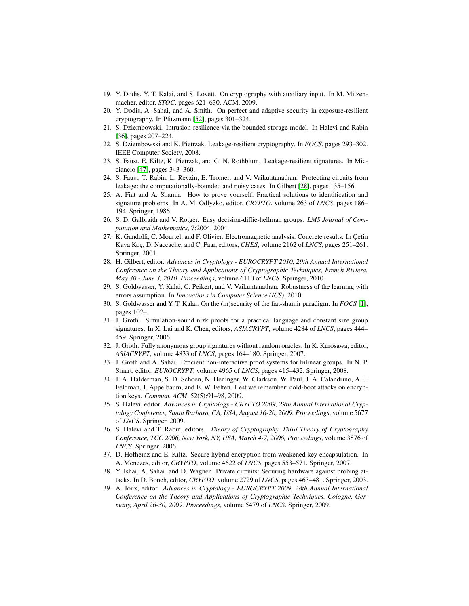- <span id="page-16-13"></span>19. Y. Dodis, Y. T. Kalai, and S. Lovett. On cryptography with auxiliary input. In M. Mitzenmacher, editor, *STOC*, pages 621–630. ACM, 2009.
- <span id="page-16-7"></span>20. Y. Dodis, A. Sahai, and A. Smith. On perfect and adaptive security in exposure-resilient cryptography. In Pfitzmann [\[52\]](#page-17-21), pages 301–324.
- <span id="page-16-12"></span>21. S. Dziembowski. Intrusion-resilience via the bounded-storage model. In Halevi and Rabin [\[36\]](#page-16-20), pages 207–224.
- <span id="page-16-10"></span>22. S. Dziembowski and K. Pietrzak. Leakage-resilient cryptography. In *FOCS*, pages 293–302. IEEE Computer Society, 2008.
- <span id="page-16-11"></span>23. S. Faust, E. Kiltz, K. Pietrzak, and G. N. Rothblum. Leakage-resilient signatures. In Micciancio [\[47\]](#page-17-20), pages 343–360.
- <span id="page-16-9"></span>24. S. Faust, T. Rabin, L. Reyzin, E. Tromer, and V. Vaikuntanathan. Protecting circuits from leakage: the computationally-bounded and noisy cases. In Gilbert [\[28\]](#page-16-17), pages 135–156.
- <span id="page-16-5"></span>25. A. Fiat and A. Shamir. How to prove yourself: Practical solutions to identification and signature problems. In A. M. Odlyzko, editor, *CRYPTO*, volume 263 of *LNCS*, pages 186– 194. Springer, 1986.
- <span id="page-16-15"></span>26. S. D. Galbraith and V. Rotger. Easy decision-diffie-hellman groups. *LMS Journal of Computation and Mathematics*, 7:2004, 2004.
- <span id="page-16-0"></span>27. K. Gandolfi, C. Mourtel, and F. Olivier. Electromagnetic analysis: Concrete results. In Çetin Kaya Koc¸, D. Naccache, and C. Paar, editors, *CHES*, volume 2162 of *LNCS*, pages 251–261. Springer, 2001.
- <span id="page-16-17"></span>28. H. Gilbert, editor. *Advances in Cryptology - EUROCRYPT 2010, 29th Annual International Conference on the Theory and Applications of Cryptographic Techniques, French Riviera, May 30 - June 3, 2010. Proceedings*, volume 6110 of *LNCS*. Springer, 2010.
- <span id="page-16-14"></span>29. S. Goldwasser, Y. Kalai, C. Peikert, and V. Vaikuntanathan. Robustness of the learning with errors assumption. In *Innovations in Computer Science (ICS)*, 2010.
- <span id="page-16-6"></span>30. S. Goldwasser and Y. T. Kalai. On the (in)security of the fiat-shamir paradigm. In *FOCS* [\[1\]](#page-15-17), pages 102–.
- <span id="page-16-3"></span>31. J. Groth. Simulation-sound nizk proofs for a practical language and constant size group signatures. In X. Lai and K. Chen, editors, *ASIACRYPT*, volume 4284 of *LNCS*, pages 444– 459. Springer, 2006.
- <span id="page-16-4"></span>32. J. Groth. Fully anonymous group signatures without random oracles. In K. Kurosawa, editor, *ASIACRYPT*, volume 4833 of *LNCS*, pages 164–180. Springer, 2007.
- <span id="page-16-2"></span>33. J. Groth and A. Sahai. Efficient non-interactive proof systems for bilinear groups. In N. P. Smart, editor, *EUROCRYPT*, volume 4965 of *LNCS*, pages 415–432. Springer, 2008.
- <span id="page-16-1"></span>34. J. A. Halderman, S. D. Schoen, N. Heninger, W. Clarkson, W. Paul, J. A. Calandrino, A. J. Feldman, J. Appelbaum, and E. W. Felten. Lest we remember: cold-boot attacks on encryption keys. *Commun. ACM*, 52(5):91–98, 2009.
- <span id="page-16-18"></span>35. S. Halevi, editor. *Advances in Cryptology - CRYPTO 2009, 29th Annual International Cryptology Conference, Santa Barbara, CA, USA, August 16-20, 2009. Proceedings*, volume 5677 of *LNCS*. Springer, 2009.
- <span id="page-16-20"></span>36. S. Halevi and T. Rabin, editors. *Theory of Cryptography, Third Theory of Cryptography Conference, TCC 2006, New York, NY, USA, March 4-7, 2006, Proceedings*, volume 3876 of *LNCS*. Springer, 2006.
- <span id="page-16-16"></span>37. D. Hofheinz and E. Kiltz. Secure hybrid encryption from weakened key encapsulation. In A. Menezes, editor, *CRYPTO*, volume 4622 of *LNCS*, pages 553–571. Springer, 2007.
- <span id="page-16-8"></span>38. Y. Ishai, A. Sahai, and D. Wagner. Private circuits: Securing hardware against probing attacks. In D. Boneh, editor, *CRYPTO*, volume 2729 of *LNCS*, pages 463–481. Springer, 2003.
- <span id="page-16-19"></span>39. A. Joux, editor. *Advances in Cryptology - EUROCRYPT 2009, 28th Annual International Conference on the Theory and Applications of Cryptographic Techniques, Cologne, Germany, April 26-30, 2009. Proceedings*, volume 5479 of *LNCS*. Springer, 2009.